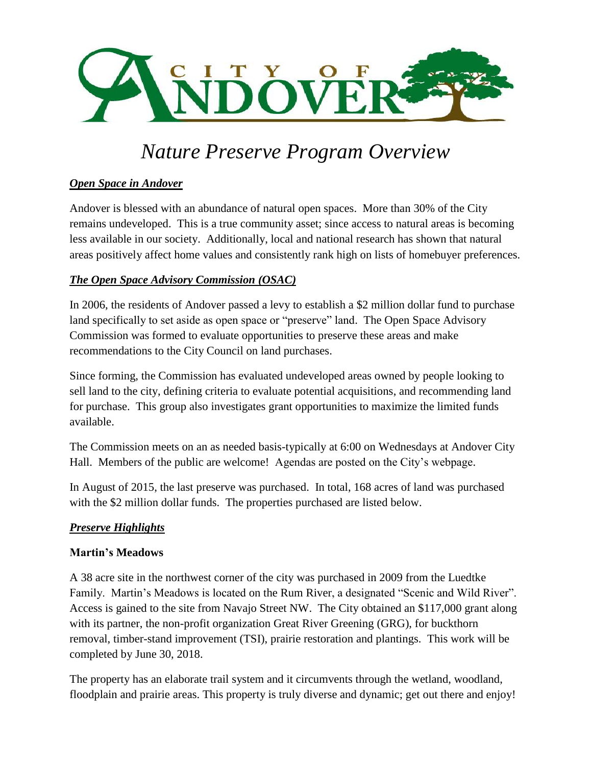

# *Nature Preserve Program Overview*

# *Open Space in Andover*

Andover is blessed with an abundance of natural open spaces. More than 30% of the City remains undeveloped. This is a true community asset; since access to natural areas is becoming less available in our society. Additionally, local and national research has shown that natural areas positively affect home values and consistently rank high on lists of homebuyer preferences.

# *The Open Space Advisory Commission (OSAC)*

In 2006, the residents of Andover passed a levy to establish a \$2 million dollar fund to purchase land specifically to set aside as open space or "preserve" land. The Open Space Advisory Commission was formed to evaluate opportunities to preserve these areas and make recommendations to the City Council on land purchases.

Since forming, the Commission has evaluated undeveloped areas owned by people looking to sell land to the city, defining criteria to evaluate potential acquisitions, and recommending land for purchase. This group also investigates grant opportunities to maximize the limited funds available.

The Commission meets on an as needed basis-typically at 6:00 on Wednesdays at Andover City Hall. Members of the public are welcome! Agendas are posted on the City's webpage.

In August of 2015, the last preserve was purchased. In total, 168 acres of land was purchased with the \$2 million dollar funds. The properties purchased are listed below.

# *Preserve Highlights*

# **Martin's Meadows**

A 38 acre site in the northwest corner of the city was purchased in 2009 from the Luedtke Family. Martin's Meadows is located on the Rum River, a designated "Scenic and Wild River". Access is gained to the site from Navajo Street NW. The City obtained an \$117,000 grant along with its partner, the non-profit organization Great River Greening (GRG), for buckthorn removal, timber-stand improvement (TSI), prairie restoration and plantings. This work will be completed by June 30, 2018.

The property has an elaborate trail system and it circumvents through the wetland, woodland, floodplain and prairie areas. This property is truly diverse and dynamic; get out there and enjoy!